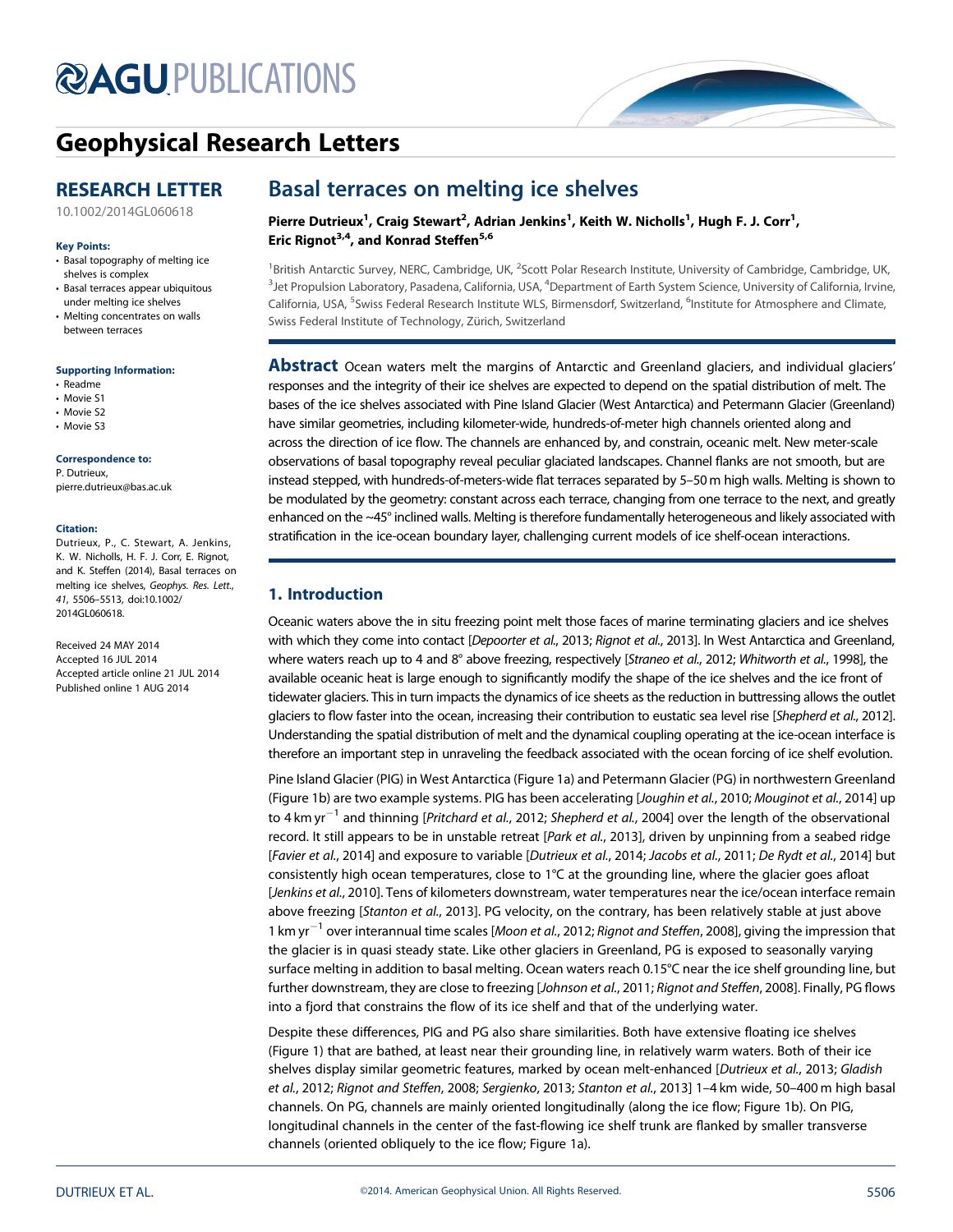# **@AGU[PUBLICATIONS](http://publications.agu.org/journals/)**



# [Geophysical Research Letters](http://onlinelibrary.wiley.com/journal/10.1002/(ISSN)1944-8007)

# RESEARCH LETTER

[10.1002/2014GL060618](http://dx.doi.org/10.1002/2014GL060618)

#### Key Points:

- Basal topography of melting ice shelves is complex
- Basal terraces appear ubiquitous under melting ice shelves
- Melting concentrates on walls between terraces

#### Supporting Information:

- Readme
- Movie S1
- Movie S2 • Movie S3
- 

#### Correspondence to:

P. Dutrieux, pierre.dutrieux@bas.ac.uk

#### Citation:

Dutrieux, P., C. Stewart, A. Jenkins, K. W. Nicholls, H. F. J. Corr, E. Rignot, and K. Steffen (2014), Basal terraces on melting ice shelves, Geophys. Res. Lett., 41, 5506–5513, doi:10.1002/ 2014GL060618.

Received 24 MAY 2014 Accepted 16 JUL 2014 Accepted article online 21 JUL 2014 Published online 1 AUG 2014

# Basal terraces on melting ice shelves

Pierre Dutrieux<sup>1</sup>, Craig Stewart<sup>2</sup>, Adrian Jenkins<sup>1</sup>, Keith W. Nicholls<sup>1</sup>, Hugh F. J. Corr<sup>1</sup>, Eric Rignot<sup>3,4</sup>, and Konrad Steffen<sup>5,6</sup>

<sup>1</sup>British Antarctic Survey, NERC, Cambridge, UK, <sup>2</sup>Scott Polar Research Institute, University of Cambridge, Cambridge, UK, <sup>3</sup>Jet Propulsion Laboratory, Pasadena, California, USA, <sup>4</sup>Department of Earth System Science, University of California, Irvine, California, USA, <sup>5</sup>Swiss Federal Research Institute WLS, Birmensdorf, Switzerland, <sup>6</sup>Institute for Atmosphere and Climate, Swiss Federal Institute of Technology, Zürich, Switzerland

Abstract Ocean waters melt the margins of Antarctic and Greenland glaciers, and individual glaciers' responses and the integrity of their ice shelves are expected to depend on the spatial distribution of melt. The bases of the ice shelves associated with Pine Island Glacier (West Antarctica) and Petermann Glacier (Greenland) have similar geometries, including kilometer-wide, hundreds-of-meter high channels oriented along and across the direction of ice flow. The channels are enhanced by, and constrain, oceanic melt. New meter-scale observations of basal topography reveal peculiar glaciated landscapes. Channel flanks are not smooth, but are instead stepped, with hundreds-of-meters-wide flat terraces separated by 5–50 m high walls. Melting is shown to be modulated by the geometry: constant across each terrace, changing from one terrace to the next, and greatly enhanced on the ~45° inclined walls. Melting is therefore fundamentally heterogeneous and likely associated with stratification in the ice-ocean boundary layer, challenging current models of ice shelf-ocean interactions.

## 1. Introduction

Oceanic waters above the in situ freezing point melt those faces of marine terminating glaciers and ice shelves with which they come into contact [Depoorter et al., 2013; Rignot et al., 2013]. In West Antarctica and Greenland, where waters reach up to 4 and 8° above freezing, respectively [Straneo et al., 2012; Whitworth et al., 1998], the available oceanic heat is large enough to significantly modify the shape of the ice shelves and the ice front of tidewater glaciers. This in turn impacts the dynamics of ice sheets as the reduction in buttressing allows the outlet glaciers to flow faster into the ocean, increasing their contribution to eustatic sea level rise [Shepherd et al., 2012]. Understanding the spatial distribution of melt and the dynamical coupling operating at the ice-ocean interface is therefore an important step in unraveling the feedback associated with the ocean forcing of ice shelf evolution.

Pine Island Glacier (PIG) in West Antarctica (Figure 1a) and Petermann Glacier (PG) in northwestern Greenland (Figure 1b) are two example systems. PIG has been accelerating [Joughin et al., 2010; Mouginot et al., 2014] up to 4 km yr<sup>-1</sup> and thinning [*Pritchard et al.*, 2012; Shepherd et al., 2004] over the length of the observational record. It still appears to be in unstable retreat [Park et al., 2013], driven by unpinning from a seabed ridge [Favier et al., 2014] and exposure to variable [Dutrieux et al., 2014; Jacobs et al., 2011; De Rydt et al., 2014] but consistently high ocean temperatures, close to 1°C at the grounding line, where the glacier goes afloat [Jenkins et al., 2010]. Tens of kilometers downstream, water temperatures near the ice/ocean interface remain above freezing [Stanton et al., 2013]. PG velocity, on the contrary, has been relatively stable at just above 1 km yr<sup>-1</sup> over interannual time scales [Moon et al., 2012; Rignot and Steffen, 2008], giving the impression that the glacier is in quasi steady state. Like other glaciers in Greenland, PG is exposed to seasonally varying surface melting in addition to basal melting. Ocean waters reach 0.15°C near the ice shelf grounding line, but further downstream, they are close to freezing [Johnson et al., 2011; Rignot and Steffen, 2008]. Finally, PG flows into a fjord that constrains the flow of its ice shelf and that of the underlying water.

Despite these differences, PIG and PG also share similarities. Both have extensive floating ice shelves (Figure 1) that are bathed, at least near their grounding line, in relatively warm waters. Both of their ice shelves display similar geometric features, marked by ocean melt-enhanced [Dutrieux et al., 2013; Gladish et al., 2012; Rignot and Steffen, 2008; Sergienko, 2013; Stanton et al., 2013] 1–4 km wide, 50–400 m high basal channels. On PG, channels are mainly oriented longitudinally (along the ice flow; Figure 1b). On PIG, longitudinal channels in the center of the fast-flowing ice shelf trunk are flanked by smaller transverse channels (oriented obliquely to the ice flow; Figure 1a).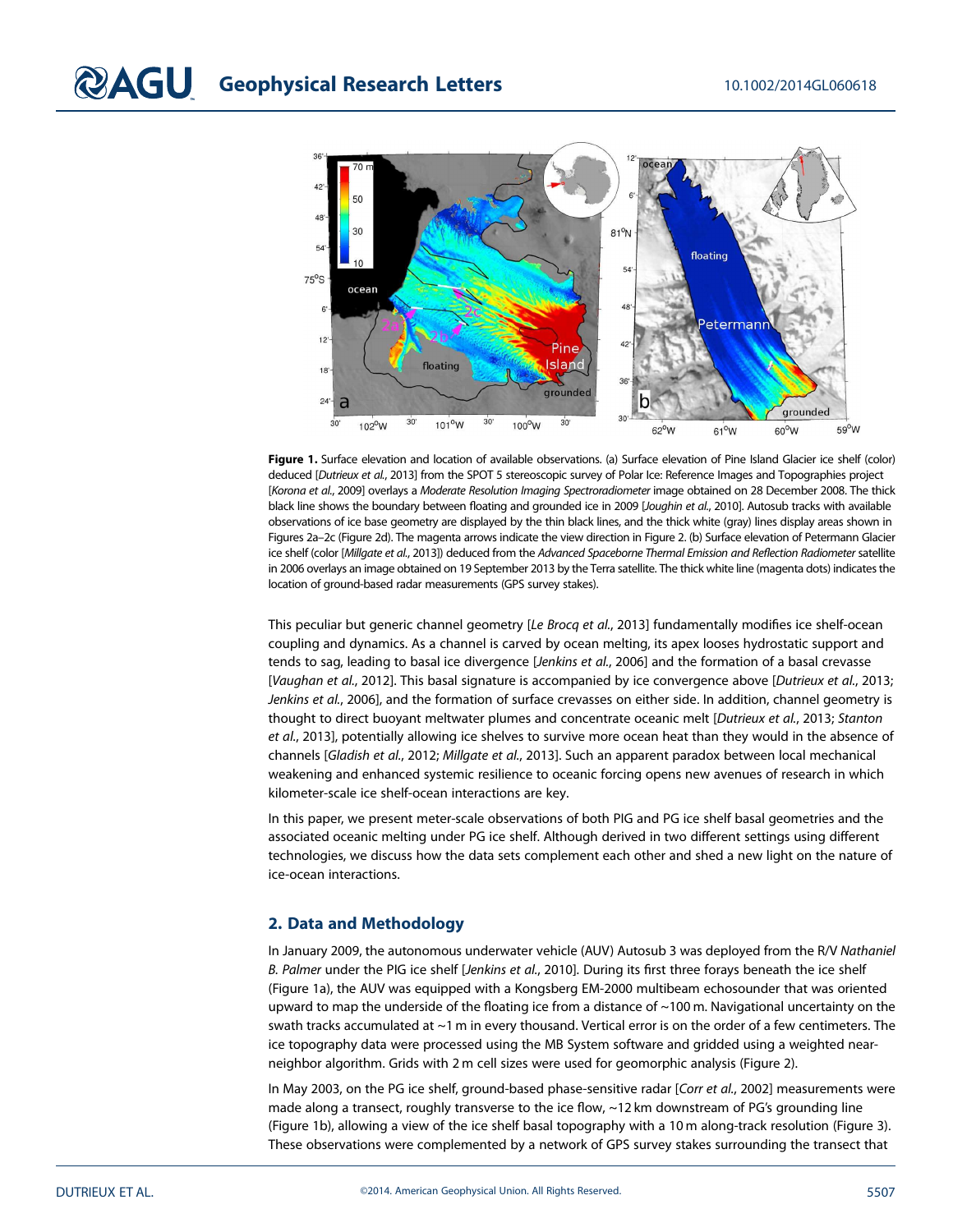

Figure 1. Surface elevation and location of available observations. (a) Surface elevation of Pine Island Glacier ice shelf (color) deduced [Dutrieux et al., 2013] from the SPOT 5 stereoscopic survey of Polar Ice: Reference Images and Topographies project [Korona et al., 2009] overlays a Moderate Resolution Imaging Spectroradiometer image obtained on 28 December 2008. The thick black line shows the boundary between floating and grounded ice in 2009 [Joughin et al., 2010]. Autosub tracks with available observations of ice base geometry are displayed by the thin black lines, and the thick white (gray) lines display areas shown in Figures 2a–2c (Figure 2d). The magenta arrows indicate the view direction in Figure 2. (b) Surface elevation of Petermann Glacier ice shelf (color [Millgate et al., 2013]) deduced from the Advanced Spaceborne Thermal Emission and Reflection Radiometer satellite in 2006 overlays an image obtained on 19 September 2013 by the Terra satellite. The thick white line (magenta dots) indicates the location of ground-based radar measurements (GPS survey stakes).

This peculiar but generic channel geometry [Le Brocq et al., 2013] fundamentally modifies ice shelf-ocean coupling and dynamics. As a channel is carved by ocean melting, its apex looses hydrostatic support and tends to sag, leading to basal ice divergence [Jenkins et al., 2006] and the formation of a basal crevasse [Vaughan et al., 2012]. This basal signature is accompanied by ice convergence above [Dutrieux et al., 2013; Jenkins et al., 2006], and the formation of surface crevasses on either side. In addition, channel geometry is thought to direct buoyant meltwater plumes and concentrate oceanic melt [Dutrieux et al., 2013; Stanton et al., 2013], potentially allowing ice shelves to survive more ocean heat than they would in the absence of channels [Gladish et al., 2012; Millgate et al., 2013]. Such an apparent paradox between local mechanical weakening and enhanced systemic resilience to oceanic forcing opens new avenues of research in which kilometer-scale ice shelf-ocean interactions are key.

In this paper, we present meter-scale observations of both PIG and PG ice shelf basal geometries and the associated oceanic melting under PG ice shelf. Although derived in two different settings using different technologies, we discuss how the data sets complement each other and shed a new light on the nature of ice-ocean interactions.

### 2. Data and Methodology

In January 2009, the autonomous underwater vehicle (AUV) Autosub 3 was deployed from the R/V Nathaniel B. Palmer under the PIG ice shelf [Jenkins et al., 2010]. During its first three forays beneath the ice shelf (Figure 1a), the AUV was equipped with a Kongsberg EM-2000 multibeam echosounder that was oriented upward to map the underside of the floating ice from a distance of ~100 m. Navigational uncertainty on the swath tracks accumulated at ~1 m in every thousand. Vertical error is on the order of a few centimeters. The ice topography data were processed using the MB System software and gridded using a weighted nearneighbor algorithm. Grids with 2 m cell sizes were used for geomorphic analysis (Figure 2).

In May 2003, on the PG ice shelf, ground-based phase-sensitive radar [Corr et al., 2002] measurements were made along a transect, roughly transverse to the ice flow, ~12 km downstream of PG's grounding line (Figure 1b), allowing a view of the ice shelf basal topography with a 10 m along-track resolution (Figure 3). These observations were complemented by a network of GPS survey stakes surrounding the transect that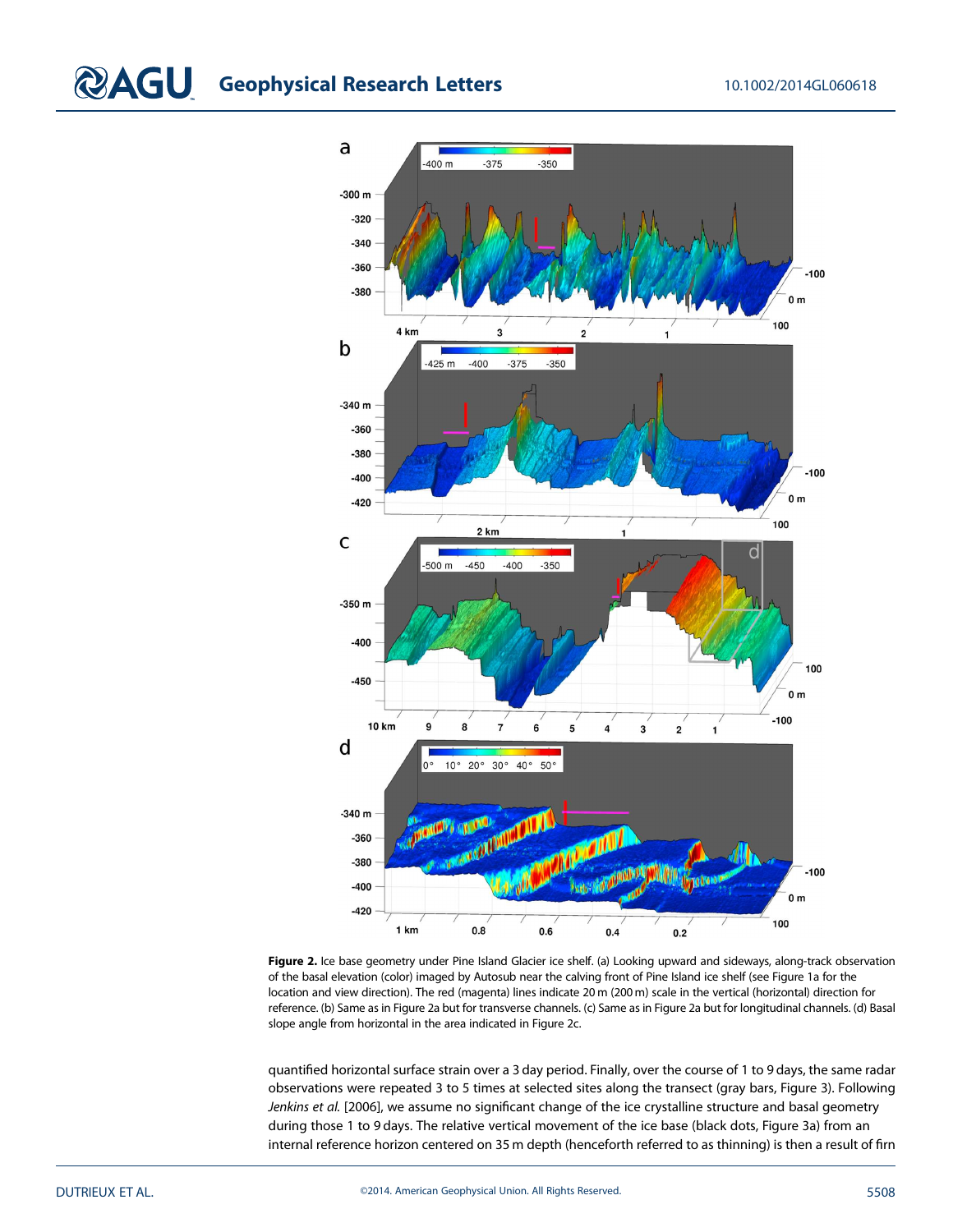# **CAGU** Geophysical Research Letters 10.1002/2014GL060618



Figure 2. Ice base geometry under Pine Island Glacier ice shelf. (a) Looking upward and sideways, along-track observation of the basal elevation (color) imaged by Autosub near the calving front of Pine Island ice shelf (see Figure 1a for the location and view direction). The red (magenta) lines indicate 20 m (200 m) scale in the vertical (horizontal) direction for reference. (b) Same as in Figure 2a but for transverse channels. (c) Same as in Figure 2a but for longitudinal channels. (d) Basal slope angle from horizontal in the area indicated in Figure 2c.

quantified horizontal surface strain over a 3 day period. Finally, over the course of 1 to 9 days, the same radar observations were repeated 3 to 5 times at selected sites along the transect (gray bars, Figure 3). Following Jenkins et al. [2006], we assume no significant change of the ice crystalline structure and basal geometry during those 1 to 9 days. The relative vertical movement of the ice base (black dots, Figure 3a) from an internal reference horizon centered on 35 m depth (henceforth referred to as thinning) is then a result of firn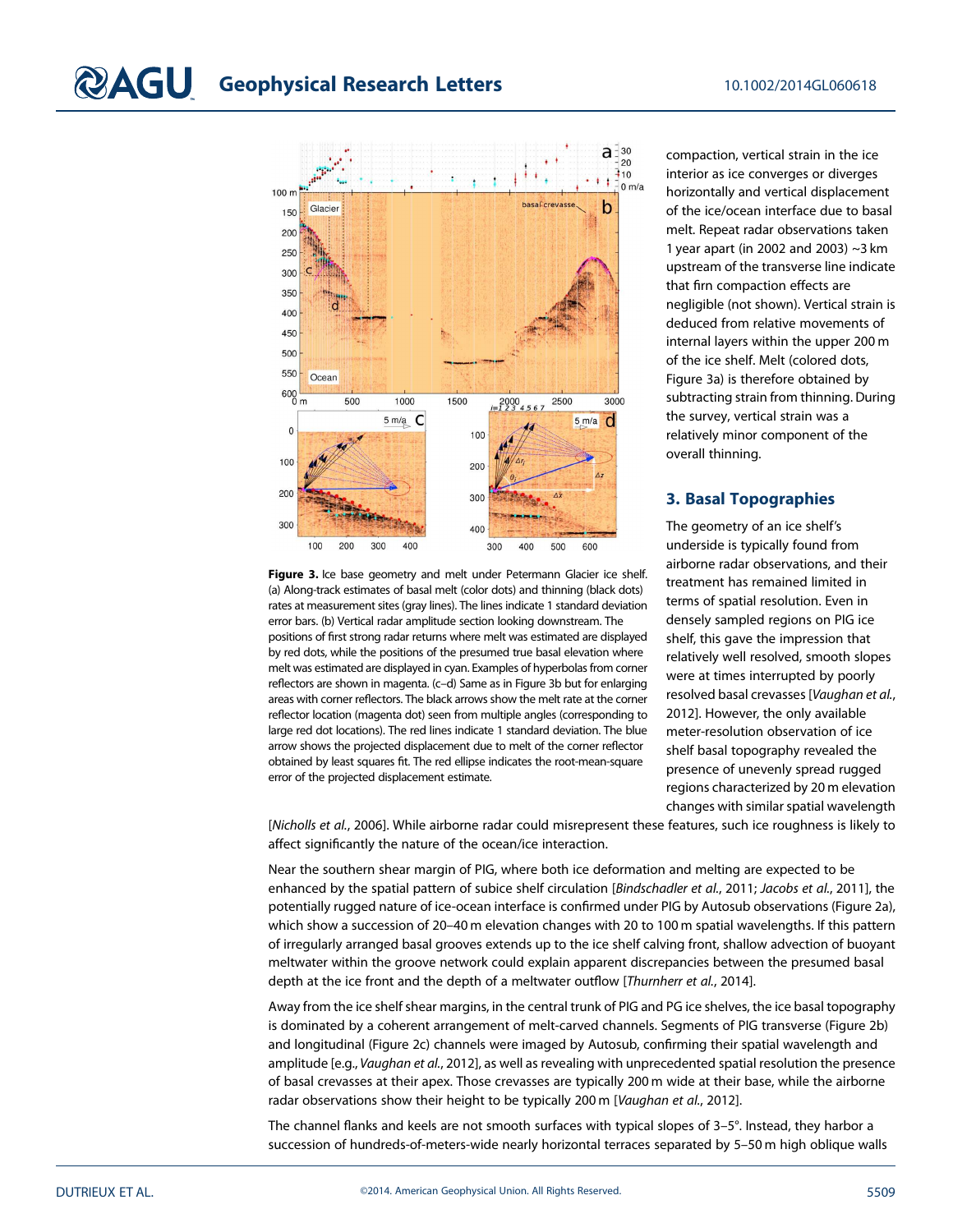

Figure 3. Ice base geometry and melt under Petermann Glacier ice shelf. (a) Along-track estimates of basal melt (color dots) and thinning (black dots) rates at measurement sites (gray lines). The lines indicate 1 standard deviation error bars. (b) Vertical radar amplitude section looking downstream. The positions of first strong radar returns where melt was estimated are displayed by red dots, while the positions of the presumed true basal elevation where melt was estimated are displayed in cyan. Examples of hyperbolas from corner reflectors are shown in magenta. (c–d) Same as in Figure 3b but for enlarging areas with corner reflectors. The black arrows show the melt rate at the corner reflector location (magenta dot) seen from multiple angles (corresponding to large red dot locations). The red lines indicate 1 standard deviation. The blue arrow shows the projected displacement due to melt of the corner reflector obtained by least squares fit. The red ellipse indicates the root-mean-square error of the projected displacement estimate.

compaction, vertical strain in the ice interior as ice converges or diverges horizontally and vertical displacement of the ice/ocean interface due to basal melt. Repeat radar observations taken 1 year apart (in 2002 and 2003) ~3 km upstream of the transverse line indicate that firn compaction effects are negligible (not shown). Vertical strain is deduced from relative movements of internal layers within the upper 200 m of the ice shelf. Melt (colored dots, Figure 3a) is therefore obtained by subtracting strain from thinning. During the survey, vertical strain was a relatively minor component of the overall thinning.

# 3. Basal Topographies

The geometry of an ice shelf's underside is typically found from airborne radar observations, and their treatment has remained limited in terms of spatial resolution. Even in densely sampled regions on PIG ice shelf, this gave the impression that relatively well resolved, smooth slopes were at times interrupted by poorly resolved basal crevasses [Vaughan et al., 2012]. However, the only available meter-resolution observation of ice shelf basal topography revealed the presence of unevenly spread rugged regions characterized by 20 m elevation changes with similar spatial wavelength

[Nicholls et al., 2006]. While airborne radar could misrepresent these features, such ice roughness is likely to affect significantly the nature of the ocean/ice interaction.

Near the southern shear margin of PIG, where both ice deformation and melting are expected to be enhanced by the spatial pattern of subice shelf circulation [Bindschadler et al., 2011; Jacobs et al., 2011], the potentially rugged nature of ice-ocean interface is confirmed under PIG by Autosub observations (Figure 2a), which show a succession of 20–40 m elevation changes with 20 to 100 m spatial wavelengths. If this pattern of irregularly arranged basal grooves extends up to the ice shelf calving front, shallow advection of buoyant meltwater within the groove network could explain apparent discrepancies between the presumed basal depth at the ice front and the depth of a meltwater outflow [Thurnherr et al., 2014].

Away from the ice shelf shear margins, in the central trunk of PIG and PG ice shelves, the ice basal topography is dominated by a coherent arrangement of melt-carved channels. Segments of PIG transverse (Figure 2b) and longitudinal (Figure 2c) channels were imaged by Autosub, confirming their spatial wavelength and amplitude [e.g., Vaughan et al., 2012], as well as revealing with unprecedented spatial resolution the presence of basal crevasses at their apex. Those crevasses are typically 200 m wide at their base, while the airborne radar observations show their height to be typically 200 m [Vaughan et al., 2012].

The channel flanks and keels are not smooth surfaces with typical slopes of 3–5°. Instead, they harbor a succession of hundreds-of-meters-wide nearly horizontal terraces separated by 5–50 m high oblique walls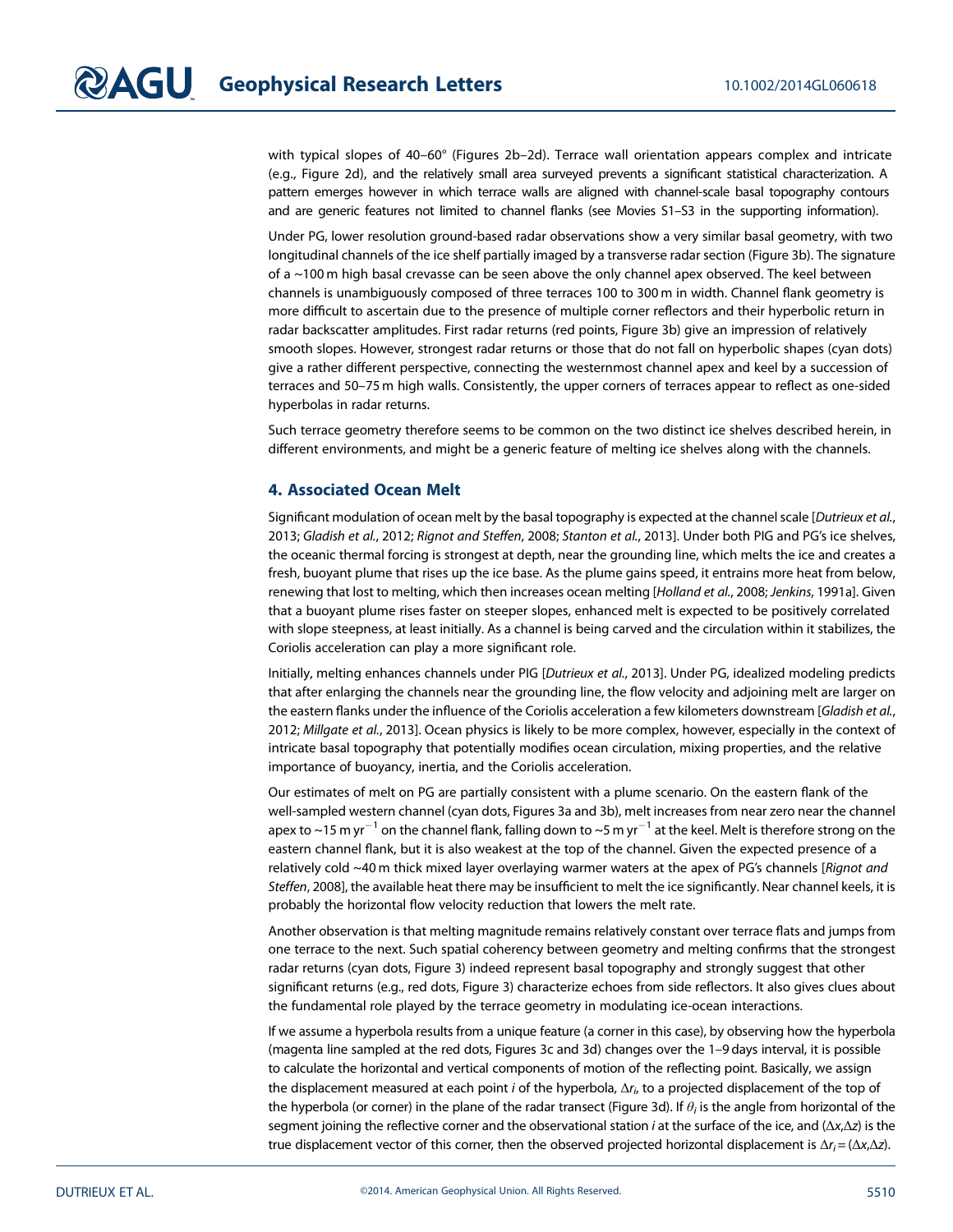with typical slopes of 40-60° (Figures 2b-2d). Terrace wall orientation appears complex and intricate (e.g., Figure 2d), and the relatively small area surveyed prevents a significant statistical characterization. A pattern emerges however in which terrace walls are aligned with channel-scale basal topography contours and are generic features not limited to channel flanks (see Movies S1–S3 in the supporting information).

Under PG, lower resolution ground-based radar observations show a very similar basal geometry, with two longitudinal channels of the ice shelf partially imaged by a transverse radar section (Figure 3b). The signature of a ~100 m high basal crevasse can be seen above the only channel apex observed. The keel between channels is unambiguously composed of three terraces 100 to 300 m in width. Channel flank geometry is more difficult to ascertain due to the presence of multiple corner reflectors and their hyperbolic return in radar backscatter amplitudes. First radar returns (red points, Figure 3b) give an impression of relatively smooth slopes. However, strongest radar returns or those that do not fall on hyperbolic shapes (cyan dots) give a rather different perspective, connecting the westernmost channel apex and keel by a succession of terraces and 50–75 m high walls. Consistently, the upper corners of terraces appear to reflect as one-sided hyperbolas in radar returns.

Such terrace geometry therefore seems to be common on the two distinct ice shelves described herein, in different environments, and might be a generic feature of melting ice shelves along with the channels.

### 4. Associated Ocean Melt

Significant modulation of ocean melt by the basal topography is expected at the channel scale [Dutrieux et al., 2013; Gladish et al., 2012; Rignot and Steffen, 2008; Stanton et al., 2013]. Under both PIG and PG's ice shelves, the oceanic thermal forcing is strongest at depth, near the grounding line, which melts the ice and creates a fresh, buoyant plume that rises up the ice base. As the plume gains speed, it entrains more heat from below, renewing that lost to melting, which then increases ocean melting [Holland et al., 2008; Jenkins, 1991a]. Given that a buoyant plume rises faster on steeper slopes, enhanced melt is expected to be positively correlated with slope steepness, at least initially. As a channel is being carved and the circulation within it stabilizes, the Coriolis acceleration can play a more significant role.

Initially, melting enhances channels under PIG [Dutrieux et al., 2013]. Under PG, idealized modeling predicts that after enlarging the channels near the grounding line, the flow velocity and adjoining melt are larger on the eastern flanks under the influence of the Coriolis acceleration a few kilometers downstream [Gladish et al., 2012; Millgate et al., 2013]. Ocean physics is likely to be more complex, however, especially in the context of intricate basal topography that potentially modifies ocean circulation, mixing properties, and the relative importance of buoyancy, inertia, and the Coriolis acceleration.

Our estimates of melt on PG are partially consistent with a plume scenario. On the eastern flank of the well-sampled western channel (cyan dots, Figures 3a and 3b), melt increases from near zero near the channel apex to ~15 m yr<sup>-1</sup> on the channel flank, falling down to ~5 m yr<sup>-1</sup> at the keel. Melt is therefore strong on the eastern channel flank, but it is also weakest at the top of the channel. Given the expected presence of a relatively cold ~40 m thick mixed layer overlaying warmer waters at the apex of PG's channels [Rignot and Steffen, 2008], the available heat there may be insufficient to melt the ice significantly. Near channel keels, it is probably the horizontal flow velocity reduction that lowers the melt rate.

Another observation is that melting magnitude remains relatively constant over terrace flats and jumps from one terrace to the next. Such spatial coherency between geometry and melting confirms that the strongest radar returns (cyan dots, Figure 3) indeed represent basal topography and strongly suggest that other significant returns (e.g., red dots, Figure 3) characterize echoes from side reflectors. It also gives clues about the fundamental role played by the terrace geometry in modulating ice-ocean interactions.

If we assume a hyperbola results from a unique feature (a corner in this case), by observing how the hyperbola (magenta line sampled at the red dots, Figures 3c and 3d) changes over the 1–9 days interval, it is possible to calculate the horizontal and vertical components of motion of the reflecting point. Basically, we assign the displacement measured at each point i of the hyperbola,  $\Delta r_{i}$  to a projected displacement of the top of the hyperbola (or corner) in the plane of the radar transect (Figure 3d). If  $\theta_i$  is the angle from horizontal of the segment joining the reflective corner and the observational station *i* at the surface of the ice, and ( $\Delta x$ , $\Delta z$ ) is the true displacement vector of this corner, then the observed projected horizontal displacement is  $\Delta r_i = (\Delta x_i \Delta z)$ .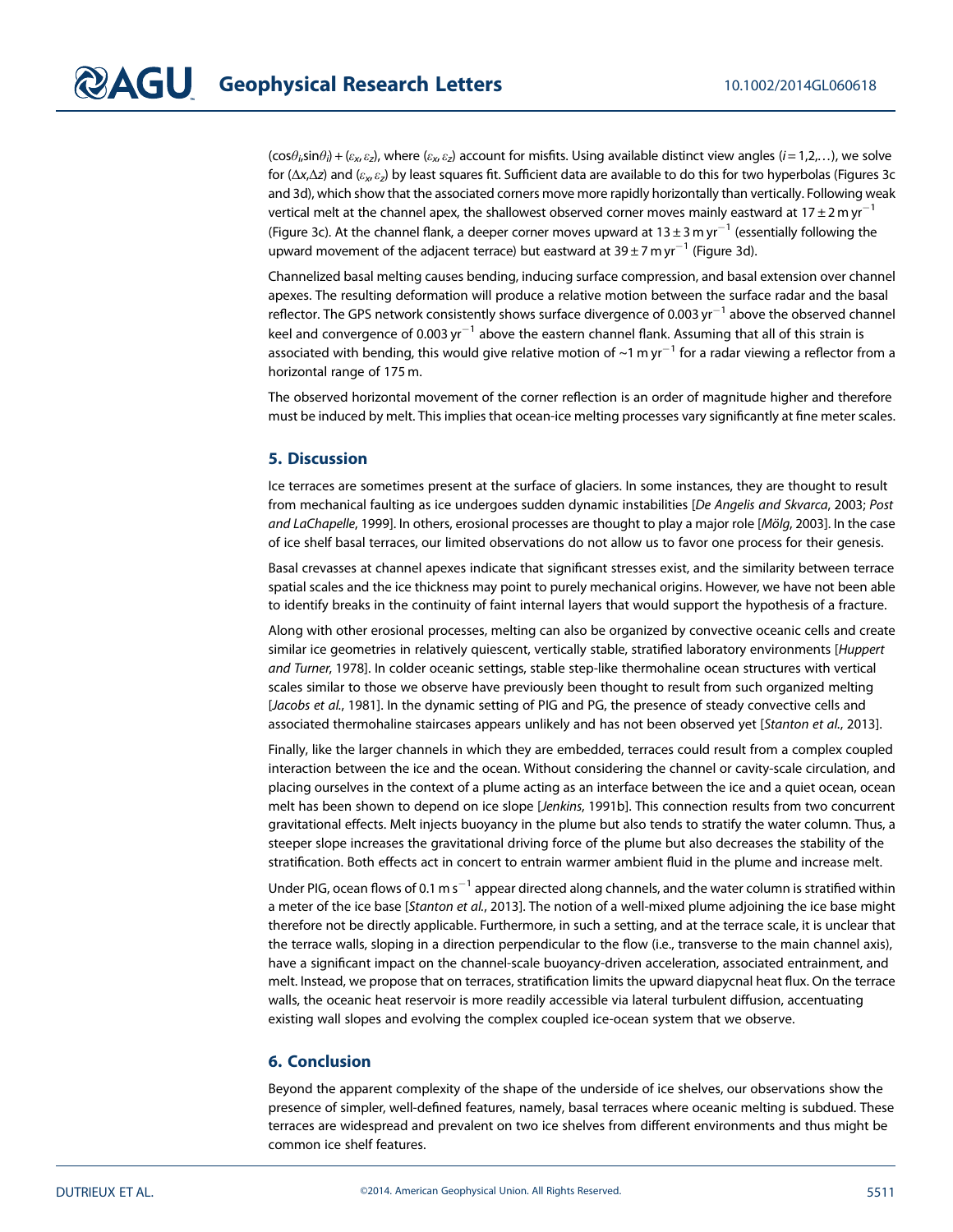$(\cos\theta_i\sin\theta_i) + (\varepsilon_x,\varepsilon_z)$ , where  $(\varepsilon_x,\varepsilon_z)$  account for misfits. Using available distinct view angles  $(i=1,2,\ldots)$ , we solve for (Δx,Δz) and ( $\varepsilon_x,\varepsilon_z$ ) by least squares fit. Sufficient data are available to do this for two hyperbolas (Figures 3c and 3d), which show that the associated corners move more rapidly horizontally than vertically. Following weak vertical melt at the channel apex, the shallowest observed corner moves mainly eastward at 17 ± 2 m yr<sup>-1</sup> (Figure 3c). At the channel flank, a deeper corner moves upward at  $13 \pm 3$  m yr $^{-1}$  (essentially following the upward movement of the adjacent terrace) but eastward at 39 ± 7 m yr $^{-1}$  (Figure 3d).

Channelized basal melting causes bending, inducing surface compression, and basal extension over channel apexes. The resulting deformation will produce a relative motion between the surface radar and the basal reflector. The GPS network consistently shows surface divergence of 0.003 yr<sup>-1</sup> above the observed channel keel and convergence of 0.003 yr<sup>-1</sup> above the eastern channel flank. Assuming that all of this strain is associated with bending, this would give relative motion of  $\sim$ 1 m yr<sup>-1</sup> for a radar viewing a reflector from a horizontal range of 175 m.

The observed horizontal movement of the corner reflection is an order of magnitude higher and therefore must be induced by melt. This implies that ocean-ice melting processes vary significantly at fine meter scales.

#### 5. Discussion

Ice terraces are sometimes present at the surface of glaciers. In some instances, they are thought to result from mechanical faulting as ice undergoes sudden dynamic instabilities [De Angelis and Skvarca, 2003; Post and LaChapelle, 1999]. In others, erosional processes are thought to play a major role [Mölg, 2003]. In the case of ice shelf basal terraces, our limited observations do not allow us to favor one process for their genesis.

Basal crevasses at channel apexes indicate that significant stresses exist, and the similarity between terrace spatial scales and the ice thickness may point to purely mechanical origins. However, we have not been able to identify breaks in the continuity of faint internal layers that would support the hypothesis of a fracture.

Along with other erosional processes, melting can also be organized by convective oceanic cells and create similar ice geometries in relatively quiescent, vertically stable, stratified laboratory environments [Huppert and Turner, 1978]. In colder oceanic settings, stable step-like thermohaline ocean structures with vertical scales similar to those we observe have previously been thought to result from such organized melting [Jacobs et al., 1981]. In the dynamic setting of PIG and PG, the presence of steady convective cells and associated thermohaline staircases appears unlikely and has not been observed yet [Stanton et al., 2013].

Finally, like the larger channels in which they are embedded, terraces could result from a complex coupled interaction between the ice and the ocean. Without considering the channel or cavity-scale circulation, and placing ourselves in the context of a plume acting as an interface between the ice and a quiet ocean, ocean melt has been shown to depend on ice slope [Jenkins, 1991b]. This connection results from two concurrent gravitational effects. Melt injects buoyancy in the plume but also tends to stratify the water column. Thus, a steeper slope increases the gravitational driving force of the plume but also decreases the stability of the stratification. Both effects act in concert to entrain warmer ambient fluid in the plume and increase melt.

Under PIG, ocean flows of 0.1 m s $^{-1}$  appear directed along channels, and the water column is stratified within a meter of the ice base [Stanton et al., 2013]. The notion of a well-mixed plume adjoining the ice base might therefore not be directly applicable. Furthermore, in such a setting, and at the terrace scale, it is unclear that the terrace walls, sloping in a direction perpendicular to the flow (i.e., transverse to the main channel axis), have a significant impact on the channel-scale buoyancy-driven acceleration, associated entrainment, and melt. Instead, we propose that on terraces, stratification limits the upward diapycnal heat flux. On the terrace walls, the oceanic heat reservoir is more readily accessible via lateral turbulent diffusion, accentuating existing wall slopes and evolving the complex coupled ice-ocean system that we observe.

## 6. Conclusion

Beyond the apparent complexity of the shape of the underside of ice shelves, our observations show the presence of simpler, well-defined features, namely, basal terraces where oceanic melting is subdued. These terraces are widespread and prevalent on two ice shelves from different environments and thus might be common ice shelf features.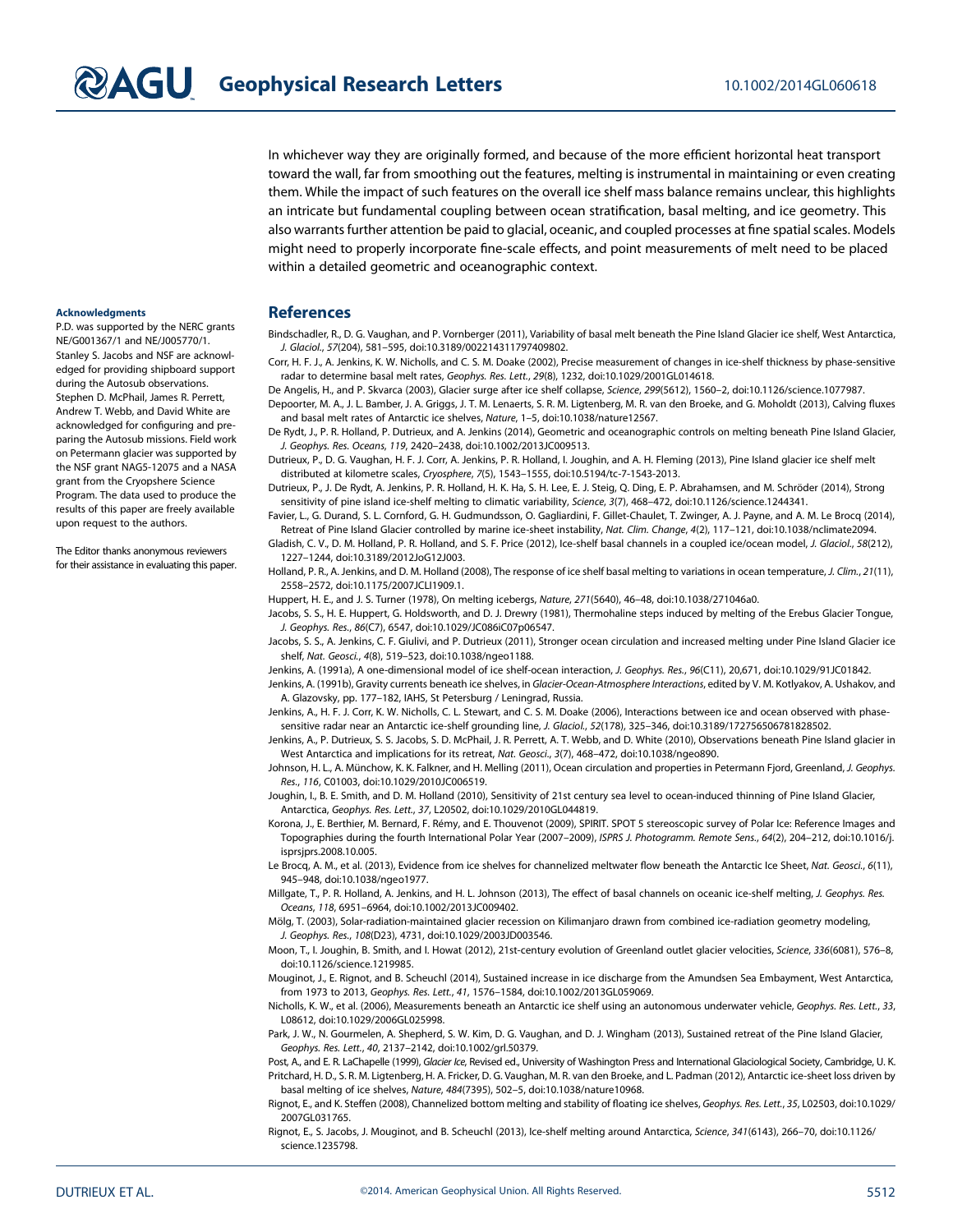In whichever way they are originally formed, and because of the more efficient horizontal heat transport toward the wall, far from smoothing out the features, melting is instrumental in maintaining or even creating them. While the impact of such features on the overall ice shelf mass balance remains unclear, this highlights an intricate but fundamental coupling between ocean stratification, basal melting, and ice geometry. This also warrants further attention be paid to glacial, oceanic, and coupled processes at fine spatial scales. Models might need to properly incorporate fine-scale effects, and point measurements of melt need to be placed within a detailed geometric and oceanographic context.

#### Acknowledgments

P.D. was supported by the NERC grants NE/G001367/1 and NE/J005770/1. Stanley S. Jacobs and NSF are acknowledged for providing shipboard support during the Autosub observations. Stephen D. McPhail, James R. Perrett, Andrew T. Webb, and David White are acknowledged for configuring and preparing the Autosub missions. Field work on Petermann glacier was supported by the NSF grant NAG5-12075 and a NASA grant from the Cryopshere Science Program. The data used to produce the results of this paper are freely available upon request to the authors.

The Editor thanks anonymous reviewers for their assistance in evaluating this paper.

#### **References**

Bindschadler, R., D. G. Vaughan, and P. Vornberger (2011), Variability of basal melt beneath the Pine Island Glacier ice shelf, West Antarctica, J. Glaciol., 57(204), 581–595, doi:[10.3189/002214311797409802.](http://dx.doi.org/10.3189/002214311797409802)

Corr, H. F. J., A. Jenkins, K. W. Nicholls, and C. S. M. Doake (2002), Precise measurement of changes in ice-shelf thickness by phase-sensitive radar to determine basal melt rates, Geophys. Res. Lett., 29(8), 1232, doi:[10.1029/2001GL014618.](http://dx.doi.org/10.1029/2001GL014618)

De Angelis, H., and P. Skvarca (2003), Glacier surge after ice shelf collapse, Science, 299(5612), 1560–2, doi[:10.1126/science.1077987.](http://dx.doi.org/10.1126/science.1077987)

Depoorter, M. A., J. L. Bamber, J. A. Griggs, J. T. M. Lenaerts, S. R. M. Ligtenberg, M. R. van den Broeke, and G. Moholdt (2013), Calving fluxes and basal melt rates of Antarctic ice shelves, Nature, 1–5, doi[:10.1038/nature12567.](http://dx.doi.org/10.1038/nature12567)

De Rydt, J., P. R. Holland, P. Dutrieux, and A. Jenkins (2014), Geometric and oceanographic controls on melting beneath Pine Island Glacier, J. Geophys. Res. Oceans, 119, 2420–2438, doi[:10.1002/2013JC009513.](http://dx.doi.org/10.1002/2013JC009513)

Dutrieux, P., D. G. Vaughan, H. F. J. Corr, A. Jenkins, P. R. Holland, I. Joughin, and A. H. Fleming (2013), Pine Island glacier ice shelf melt distributed at kilometre scales, Cryosphere, 7(5), 1543–1555, doi:[10.5194/tc-7-1543-2013.](http://dx.doi.org/10.5194/tc-7-1543-2013)

Dutrieux, P., J. De Rydt, A. Jenkins, P. R. Holland, H. K. Ha, S. H. Lee, E. J. Steig, Q. Ding, E. P. Abrahamsen, and M. Schröder (2014), Strong sensitivity of pine island ice-shelf melting to climatic variability, Science, 3(7), 468-472, doi:[10.1126/science.1244341.](http://dx.doi.org/10.1126/science.1244341)

Favier, L., G. Durand, S. L. Cornford, G. H. Gudmundsson, O. Gagliardini, F. Gillet-Chaulet, T. Zwinger, A. J. Payne, and A. M. Le Brocq (2014), Retreat of Pine Island Glacier controlled by marine ice-sheet instability, Nat. Clim. Change, 4(2), 117–121, doi[:10.1038/nclimate2094.](http://dx.doi.org/10.1038/nclimate2094)

Gladish, C. V., D. M. Holland, P. R. Holland, and S. F. Price (2012), Ice-shelf basal channels in a coupled ice/ocean model, J. Glaciol., 58(212), 1227–1244, doi:[10.3189/2012JoG12J003.](http://dx.doi.org/10.3189/2012JoG12J003)

Holland, P. R., A. Jenkins, and D. M. Holland (2008), The response of ice shelf basal melting to variations in ocean temperature, J. Clim., 21(11), 2558–2572, doi:[10.1175/2007JCLI1909.1.](http://dx.doi.org/10.1175/2007JCLI1909.1)

Huppert, H. E., and J. S. Turner (1978), On melting icebergs, Nature, 271(5640), 46–48, doi:[10.1038/271046a0.](http://dx.doi.org/10.1038/271046a0)

Jacobs, S. S., H. E. Huppert, G. Holdsworth, and D. J. Drewry (1981), Thermohaline steps induced by melting of the Erebus Glacier Tongue, J. Geophys. Res., 86(C7), 6547, doi:[10.1029/JC086iC07p06547.](http://dx.doi.org/10.1029/JC086iC07p06547)

Jacobs, S. S., A. Jenkins, C. F. Giulivi, and P. Dutrieux (2011), Stronger ocean circulation and increased melting under Pine Island Glacier ice shelf, Nat. Geosci., 4(8), 519–523, doi:[10.1038/ngeo1188.](http://dx.doi.org/10.1038/ngeo1188)

Jenkins, A. (1991a), A one-dimensional model of ice shelf-ocean interaction, J. Geophys. Res., 96(C11), 20,671, doi:[10.1029/91JC01842](http://dx.doi.org/10.1029/91JC01842).

Jenkins, A. (1991b), Gravity currents beneath ice shelves, in Glacier-Ocean-Atmosphere Interactions, edited by V. M. Kotlyakov, A. Ushakov, and A. Glazovsky, pp. 177–182, IAHS, St Petersburg / Leningrad, Russia.

Jenkins, A., H. F. J. Corr, K. W. Nicholls, C. L. Stewart, and C. S. M. Doake (2006), Interactions between ice and ocean observed with phasesensitive radar near an Antarctic ice-shelf grounding line, J. Glaciol., 52(178), 325–346, doi[:10.3189/172756506781828502.](http://dx.doi.org/10.3189/172756506781828502)

Jenkins, A., P. Dutrieux, S. S. Jacobs, S. D. McPhail, J. R. Perrett, A. T. Webb, and D. White (2010), Observations beneath Pine Island glacier in West Antarctica and implications for its retreat, Nat. Geosci., 3(7), 468–472, doi:[10.1038/ngeo890.](http://dx.doi.org/10.1038/ngeo890)

Johnson, H. L., A. Münchow, K. K. Falkner, and H. Melling (2011), Ocean circulation and properties in Petermann Fjord, Greenland, J. Geophys. Res., 116, C01003, doi[:10.1029/2010JC006519.](http://dx.doi.org/10.1029/2010JC006519)

Joughin, I., B. E. Smith, and D. M. Holland (2010), Sensitivity of 21st century sea level to ocean-induced thinning of Pine Island Glacier, Antarctica, Geophys. Res. Lett., 37, L20502, doi[:10.1029/2010GL044819](http://dx.doi.org/10.1029/2010GL044819).

Korona, J., E. Berthier, M. Bernard, F. Rémy, and E. Thouvenot (2009), SPIRIT. SPOT 5 stereoscopic survey of Polar Ice: Reference Images and Topographies during the fourth International Polar Year (2007–2009), ISPRS J. Photogramm. Remote Sens., 64(2), 204–212, doi[:10.1016/j.](http://dx.doi.org/10.1016/j.isprsjprs.2008.10.005) [isprsjprs.2008.10.005.](http://dx.doi.org/10.1016/j.isprsjprs.2008.10.005)

Le Brocq, A. M., et al. (2013), Evidence from ice shelves for channelized meltwater flow beneath the Antarctic Ice Sheet, Nat. Geosci., 6(11), 945–948, doi:[10.1038/ngeo1977](http://dx.doi.org/10.1038/ngeo1977).

Millgate, T., P. R. Holland, A. Jenkins, and H. L. Johnson (2013), The effect of basal channels on oceanic ice-shelf melting, J. Geophys. Res. Oceans, 118, 6951–6964, doi[:10.1002/2013JC009402.](http://dx.doi.org/10.1002/2013JC009402)

Mölg, T. (2003), Solar-radiation-maintained glacier recession on Kilimanjaro drawn from combined ice-radiation geometry modeling, J. Geophys. Res., 108(D23), 4731, doi:[10.1029/2003JD003546.](http://dx.doi.org/10.1029/2003JD003546)

Moon, T., I. Joughin, B. Smith, and I. Howat (2012), 21st-century evolution of Greenland outlet glacier velocities, Science, 336(6081), 576–8, doi[:10.1126/science.1219985](http://dx.doi.org/10.1126/science.1219985).

Mouginot, J., E. Rignot, and B. Scheuchl (2014), Sustained increase in ice discharge from the Amundsen Sea Embayment, West Antarctica, from 1973 to 2013, Geophys. Res. Lett., 41, 1576–1584, doi:[10.1002/2013GL059069.](http://dx.doi.org/10.1002/2013GL059069)

Nicholls, K. W., et al. (2006), Measurements beneath an Antarctic ice shelf using an autonomous underwater vehicle, Geophys. Res. Lett., 33, L08612, doi:[10.1029/2006GL025998](http://dx.doi.org/10.1029/2006GL025998).

Park, J. W., N. Gourmelen, A. Shepherd, S. W. Kim, D. G. Vaughan, and D. J. Wingham (2013), Sustained retreat of the Pine Island Glacier, Geophys. Res. Lett., 40, 2137–2142, doi[:10.1002/grl.50379.](http://dx.doi.org/10.1002/grl.50379)

Post, A., and E. R. LaChapelle (1999), Glacier Ice, Revised ed., University of Washington Press and International Glaciological Society, Cambridge, U. K. Pritchard, H. D., S. R. M. Ligtenberg, H. A. Fricker, D. G. Vaughan, M. R. van den Broeke, and L. Padman (2012), Antarctic ice-sheet loss driven by basal melting of ice shelves, Nature, 484(7395), 502–5, doi[:10.1038/nature10968.](http://dx.doi.org/10.1038/nature10968)

Rignot, E., and K. Steffen (2008), Channelized bottom melting and stability of floating ice shelves, Geophys. Res. Lett., 35, L02503, doi[:10.1029/](http://dx.doi.org/10.1029/2007GL031765) [2007GL031765](http://dx.doi.org/10.1029/2007GL031765).

Rignot, E., S. Jacobs, J. Mouginot, and B. Scheuchl (2013), Ice-shelf melting around Antarctica, Science, 341(6143), 266–70, doi:[10.1126/](http://dx.doi.org/10.1126/science.1235798) [science.1235798](http://dx.doi.org/10.1126/science.1235798).